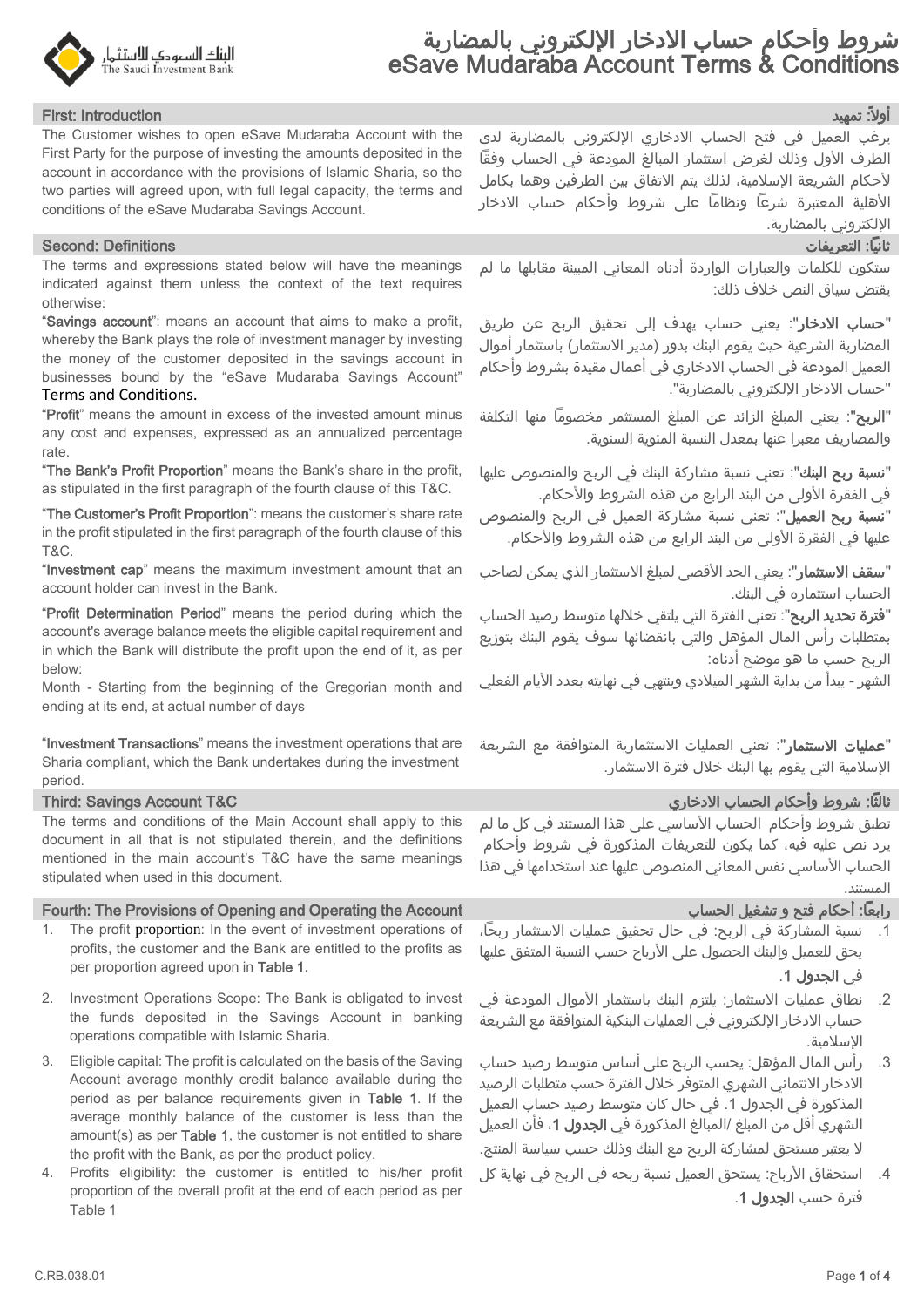

## أوال:ً تمهيد Introduction :First

The Customer wishes to open eSave Mudaraba Account with the First Party for the purpose of investing the amounts deposited in the account in accordance with the provisions of Islamic Sharia, so the two parties will agreed upon, with full legal capacity, the terms and conditions of the eSave Mudaraba Savings Account.

### ثانيًا: التعريفات Definitions :Second

The terms and expressions stated below will have the meanings indicated against them unless the context of the text requires otherwise:

"Savings account": means an account that aims to make a profit, whereby the Bank plays the role of investment manager by investing the money of the customer deposited in the savings account in businesses bound by the "eSave Mudaraba Savings Account" Terms and Conditions.

"Profit" means the amount in excess of the invested amount minus any cost and expenses, expressed as an annualized percentage rate.

"The Bank's Profit Proportion" means the Bank's share in the profit, as stipulated in the first paragraph of the fourth clause of this T&C.

"The Customer's Profit Proportion": means the customer's share rate in the profit stipulated in the first paragraph of the fourth clause of this T&C.

"Investment cap" means the maximum investment amount that an account holder can invest in the Bank.

"Profit Determination Period" means the period during which the account's average balance meets the eligible capital requirement and in which the Bank will distribute the profit upon the end of it, as per below:

Month - Starting from the beginning of the Gregorian month and ending at its end, at actual number of days

"Investment Transactions" means the investment operations that are Sharia compliant, which the Bank undertakes during the investment period.

The terms and conditions of the Main Account shall apply to this document in all that is not stipulated therein, and the definitions mentioned in the main account's T&C have the same meanings stipulated when used in this document.

### Fourth: The Provisions of Opening and Operating the Account الحساب تشغيل و فتح أحكام :اًرابع

- 1. The profit proportion: In the event of investment operations of profits, the customer and the Bank are entitled to the profits as per proportion agreed upon in Table 1.
- 2. Investment Operations Scope: The Bank is obligated to invest the funds deposited in the Savings Account in banking operations compatible with Islamic Sharia.
- 3. Eligible capital: The profit is calculated on the basis of the Saving Account average monthly credit balance available during the period as per balance requirements given in Table 1. If the average monthly balance of the customer is less than the amount(s) as per Table 1, the customer is not entitled to share the profit with the Bank, as per the product policy.
- 4. Profits eligibility: the customer is entitled to his/her profit proportion of the overall profit at the end of each period as per Table 1

يرغب العميل في فتح الحساب االدخاري اإللكتروني بالمضاربة لدى الطرف الأول وذلك لغرض استثمار المبالغ المودعة في الحساب وفقاً ألحكام الشريعة اإلسالمية، لذلك يتم االتفاق بين الطرفين وهما بكامل األهلية المعتبرة شرعًا ونظامًا على شروط وأحكام حساب االدخار اإللكتروني بالمضاربة.

ستكون للكلمات والعبارات الواردة أدناه المعاني المبينة مقابلها ما لم يقتض سياق النص خالف ذلك:

"**حساب الادخار**": يعني حساب يهدف إلى تحقيق الربح عن طريق المضاربة الشرعية حيث يقوم البنك بدور (مدير الاستثمار) باستثمار أموال العميل المودعة في الحساب االدخاري في أعمال مقيدة بشروط وأحكام "حساب االدخار اإللكتروني بالمضاربة".

"الربح": يعني المبلغ الزائد عن المبلغ المستثمر مخصومًا منها التكلفة والمصاريف معبرا عنها بمعدل النسبة المئوية السنوية.

"<mark>نسبة ربح البنك</mark>": تعني نسبة مشاركة البنك في الربح والمنصوص عليها في الفقرة الأولى من البند الرابع من هذه الشروط والأحكام.

"**نسبة ربح العميل**": تعني نسبة مشاركة العميل في الربح والمنصوص عليها في الفقرة الأولى من البند الرابع من هذه الشروط والأحكام.

"**سقف الاستثمار**": يعني الحد الأقصى لمبلغ الاستثمار الذي يمكن لصاحب الحساب استثماره في البنك.

"**فترة تحديد الربح**": تعني الفترة التي يلتقي خلالها متوسط رصيد الحساب بمتطلبات رأس المال المؤهل والتي بانقضائها سوف يقوم البنك بتوزيع الربح حسب ما هو موضح أدناه:

الشهر - يبدأ من بداية الشهر الميلادي وينتهي في نهايته بعدد الأيام الفعلي

"<mark>عمليات الاستثمار</mark>": تعني العمليات الاستثمارية المتوافقة مع الشريعة اإلسالمية التي يقوم بها البنك خالل فترة االستثمار.

## ثالثًا: شروط وأحكام الحساب االدخاري C&T Account Savings :Third

تطبق شروط وأحكام الحساب الأساسي على هذا المستند في كل ما لم يرد نص عليه فيه، كما يكون للتعريفات المذكورة في شروط وأحكام الحساب الأساسي نفس المعاني المنصوص عليها عند استخدامها في هذا المستند.

- .1 نسبة المشاركة في الربح: في حال تحقيق عمليات االستثمار ربحًا، يحق للعميل والبنك الحصول على الأرباح حسب النسبة المتفق عليها في الجدول .1
- .2 نطاق عمليات االستثمار: يلتزم البنك باستثمار األموال المودعة في حساب الادخار الإلكتروني في العمليات البنكية المتوافقة مع الشريعة اإلسالمية.
- .3 رأس المال المؤهل: يحسب الربح على أساس متوسط رصيد حساب االدخار االئتماني الشهري المتوفر خالل الفترة حسب متطلبات الرصيد المذكورة في الجدول 1. في حال كان متوسط رصيد حساب العميل الشهري أقل من المبلغ /المبالغ المذكورة في **الجدول 1**، فأن العميل ال يعتبر مستحق لمشاركة الربح مع البنك وذلك حسب سياسة المنتج.
- 4. استحقاق الأرباح: يستحق العميل نسبة ربحه في الربح في نهاية كل فترة حسب الجدول .1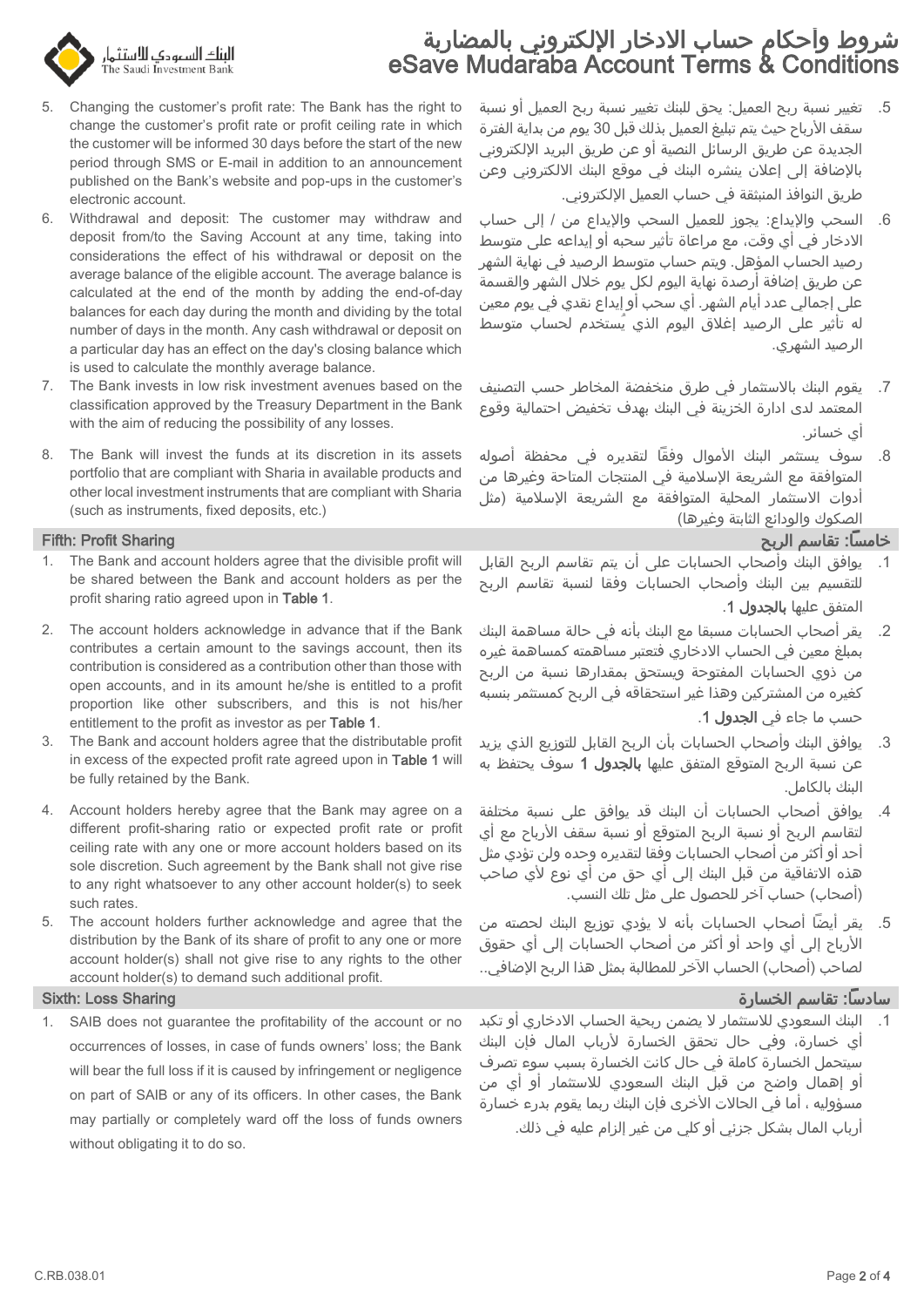# شروط وأحكام حساب الادخار الإلكتروني بالمضاربة eSave Mudaraba Account Terms & Conditions



- 5. Changing the customer's profit rate: The Bank has the right to change the customer's profit rate or profit ceiling rate in which the customer will be informed 30 days before the start of the new period through SMS or E-mail in addition to an announcement published on the Bank's website and pop-ups in the customer's electronic account.
- 6. Withdrawal and deposit: The customer may withdraw and deposit from/to the Saving Account at any time, taking into considerations the effect of his withdrawal or deposit on the average balance of the eligible account. The average balance is calculated at the end of the month by adding the end-of-day balances for each day during the month and dividing by the total number of days in the month. Any cash withdrawal or deposit on a particular day has an effect on the day's closing balance which is used to calculate the monthly average balance.
- 7. The Bank invests in low risk investment avenues based on the classification approved by the Treasury Department in the Bank with the aim of reducing the possibility of any losses.
- 8. The Bank will invest the funds at its discretion in its assets portfolio that are compliant with Sharia in available products and other local investment instruments that are compliant with Sharia (such as instruments, fixed deposits, etc.)

- 1. The Bank and account holders agree that the divisible profit will be shared between the Bank and account holders as per the profit sharing ratio agreed upon in Table 1.
- 2. The account holders acknowledge in advance that if the Bank contributes a certain amount to the savings account, then its contribution is considered as a contribution other than those with open accounts, and in its amount he/she is entitled to a profit proportion like other subscribers, and this is not his/her entitlement to the profit as investor as per Table 1.
- 3. The Bank and account holders agree that the distributable profit in excess of the expected profit rate agreed upon in Table 1 will be fully retained by the Bank.
- 4. Account holders hereby agree that the Bank may agree on a different profit-sharing ratio or expected profit rate or profit ceiling rate with any one or more account holders based on its sole discretion. Such agreement by the Bank shall not give rise to any right whatsoever to any other account holder(s) to seek such rates.
- 5. The account holders further acknowledge and agree that the distribution by the Bank of its share of profit to any one or more account holder(s) shall not give rise to any rights to the other account holder(s) to demand such additional profit.

1. SAIB does not guarantee the profitability of the account or no occurrences of losses, in case of funds owners' loss; the Bank will bear the full loss if it is caused by infringement or negligence on part of SAIB or any of its officers. In other cases, the Bank may partially or completely ward off the loss of funds owners without obligating it to do so.

- .5 تغيير نسبة ربح العميل: يحق للبنك تغيير نسبة ربح العميل أو نسبة سقف الأرباح حيث يتم تبليغ العميل بذلك قبل 30 يوم من بداية الفترة الجديدة عن طريق الرسائل النصية أو عن طريق البريد اإللكتروني باإلضافة إلى إعالن ينشره البنك في موقع البنك االلكتروني وعن طريق النوافذ المنبثقة في حساب العميل اإللكتروني.
- .6 السحب واإليداع: يجوز للعميل السحب واإليداع من / إلى حساب االدخار في أي وقت، مع مراعاة تأثير سحبه أو إيداعه على متوسط رصيد الحساب المؤهل. ويتم حساب متوسط الرصيد في نهاية الشهر عن طريق إضافة أرصدة نهاية اليوم لكل يوم خالل الشهر والقسمة على إجمالي عدد أيام الشهر. أي سحب أو إيداع نقدي في يوم معين له تأثير على الرصيد إغالق اليوم الذي يُستخدم لحساب متوسط الرصيد الشهري.
- .7 يقوم البنك باالستثمار في طرق منخفضة المخاطر حسب التصنيف المعتمد لدى ادارة الخزينة في البنك بهدف تخفيض احتمالية وقوع أي خسائر.
- 8. سوف يستثمر البنك الأموال وفقًا لتقديره في محفظة أصوله المتوافقة مع الشريعة اإلسالمية في المنتجات المتاحة وغيرها من أدوات الاستثمار المحلية المتوافقة مع الشريعة الإسلامية (مثل الصكوك والودائع الثابتة وغيرها)

## خامسًا: تقاسم الربح Sharing Profit :Fifth

- .1 يوافق البنك وأصحاب الحسابات على أن يتم تقاسم الربح القابل للتقسيم بين البنك وأصحاب الحسابات وفقا لنسبة تقاسم الربح المتفق عليها بالجدول .1
- .2 يقر أصحاب الحسابات مسبقا مع البنك بأنه في حالة مساهمة البنك بمبلغ معين في الحساب االدخاري فتعتبر مساهمته كمساهمة غيره من ذوي الحسابات المفتوحة ويستحق بمقدارها نسبة من الربح كغيره من المشتركين وهذا غير استحقاقه في الربح كمستثمر بنسبه حسب ما جاء في الجدول .1
- .3 يوافق البنك وأصحاب الحسابات بأن الربح القابل للتوزيع الذي يزيد عن نسبة الربح المتوقع المتفق عليها **بالجدول 1** سوف يحتفظ به البنك بالكامل.
- .4 يوافق أصحاب الحسابات أن البنك قد يوافق على نسبة مختلفة لتقاسم الربح أو نسبة الربح المتوقع أو نسبة سقف الأرباح مع اي أحد أو أكثر من أصحاب الحسابات وفقا لتقديره وحده ولن تؤدي مثل هذه الاتفاقية من قبل البنك إلى أي حق من أي نوع لأي صاحب (أصحاب) حساب آخر للحصول على مثل تلك النسب.
- .5 يقر أيضًا أصحاب الحسابات بأنه ال يؤدي توزيع البنك لحصته من األرباح إلى أي واحد أو أكثر من أصحاب الحسابات إلى أي حقوق لصاحب (أصحاب) الحساب الآخر للمطالبة بمثل هذا الربح الإضافي..

## سادسًا: تقاسم الخسارة Sharing Loss :Sixth

.1 البنك السعودي لالستثمار ال يضمن ربحية الحساب االدخاري أو تكبد أي خسارة، وفي حال تحقق الخسارة ألرباب المال فإن البنك سيتحمل الخسارة كاملة في حال كانت الخسارة بسبب سوء تصرف أو إهمال واضح من قبل البنك السعودي لالستثمار أو أي من مسؤوليه ، أما في الحالات الأخرى فإن البنك ربما يقوم بدرء خسارة أرباب المال بشكل جزئي أو كلي من غير إلزام عليه في ذلك.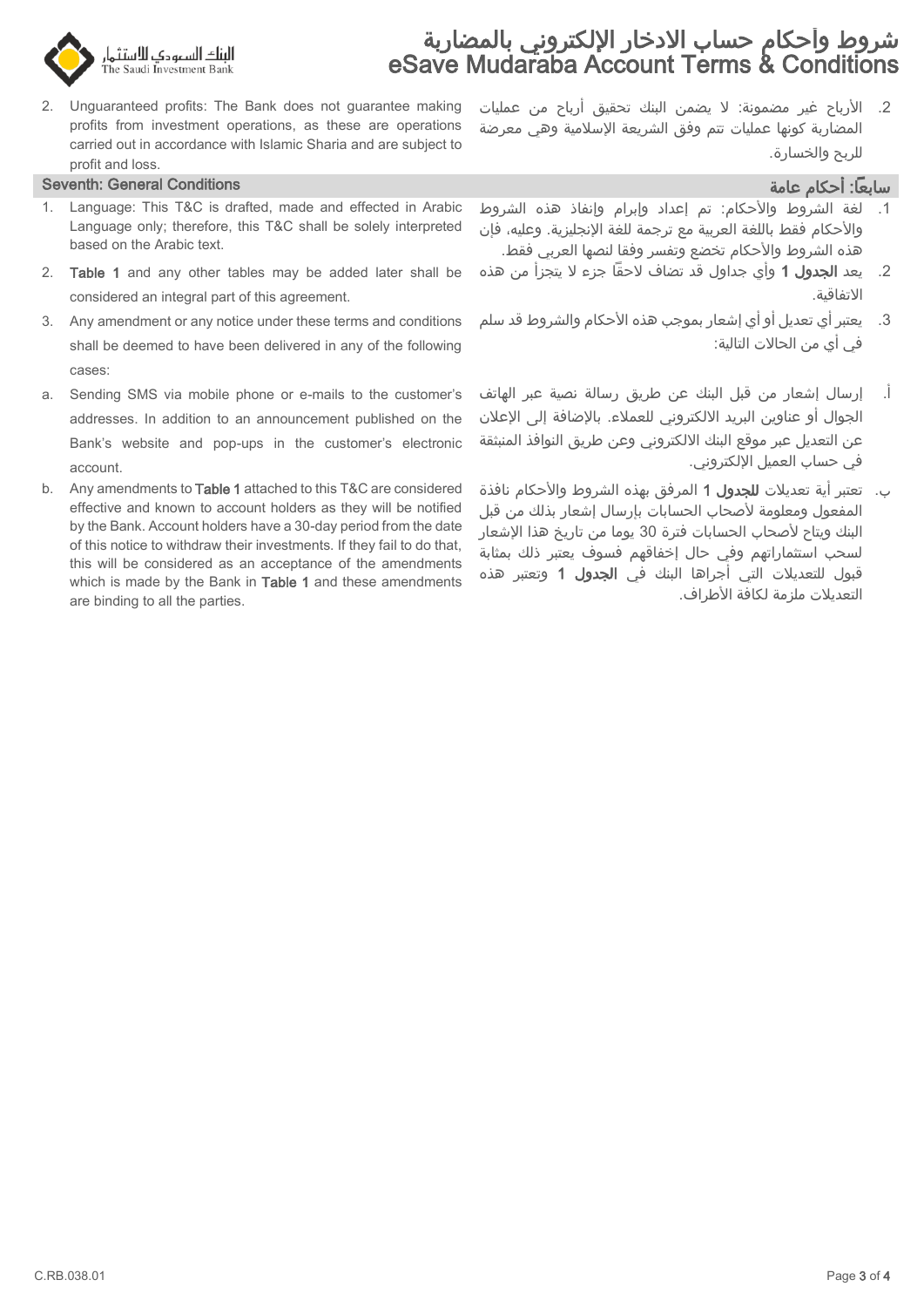

# شروط وأحكام حساب الادخار الإلكتروني بالمضاربة eSave Mudaraba Account Terms & Conditions

2. Unguaranteed profits: The Bank does not guarantee making profits from investment operations, as these are operations carried out in accordance with Islamic Sharia and are subject to profit and loss.

# سابعاً: أحكام عامة Conditions و Conditions و Conditions و Conditions و Conditions و Conditions و Conditions و

- 1. Language: This T&C is drafted, made and effected in Arabic Language only; therefore, this T&C shall be solely interpreted based on the Arabic text.
- 2. Table 1 and any other tables may be added later shall be considered an integral part of this agreement.
- 3. Any amendment or any notice under these terms and conditions shall be deemed to have been delivered in any of the following cases:
- a. Sending SMS via mobile phone or e-mails to the customer's addresses. In addition to an announcement published on the Bank's website and pop-ups in the customer's electronic account.
- b. Any amendments to Table 1 attached to this T&C are considered effective and known to account holders as they will be notified by the Bank. Account holders have a 30-day period from the date of this notice to withdraw their investments. If they fail to do that, this will be considered as an acceptance of the amendments which is made by the Bank in Table 1 and these amendments are binding to all the parties.

2. الأرباح غير مضمونة: لا يضمن البنك تحقيق أرباح من عمليات المضاربة كونها عمليات تتم وفق الشريعة اإلسالمية وهي معرضة للربح والخسارة.

- لغة الشروط والأحكام: تم إعداد وإبرام وإنفاذ هذه الشروط والأحكام فقط باللغة العربية مع ترجمة للغة الإنجليزية. وعليه، فإن هذه الشروط واألحكام تخضع وتفسر وفقا لنصها العربي فقط.
- 2. يعد **الجدول 1** وأي جداول قد تضاف لاحقاً جزء لا يتجزأ من هذه االتفاقية.
- 3. \_ يعتبر أي تعديل أو أي إشعار بموجب هذه الأحكام والشروط قد سلم في أي من الحاالت التالية:
- أ. إرسال إشعار من قبل البنك عن طريق رسالة نصية عبر الهاتف الجوال أو عناوين البريد الالكتروني للعملاء. بالإضافة إلى الإعلان عن التعديل عبر موقع البنك االلكتروني وعن طريق النوافذ المنبثقة في حساب العميل اإللكتروني.
- ب. تعتبر أية تعديلات **للجدول 1** المرفق بهذه الشروط والأحكام نافذة المفعول ومعلومة لأصحاب الحسابات بإرسال إشعار بذلك من قبل البنك ويتاح لأصحاب الحسابات فترة 30 يوما من تاريخ هذا الإشعار لسحب استثماراتهم وفي حال إخفاقهم فسوف يعتبر ذلك بمثابة قبول للتعديالت التي أجراها البنك في الجدول 1 وتعتبر هذه التعديلات ملزمة لكافة الأطراف.